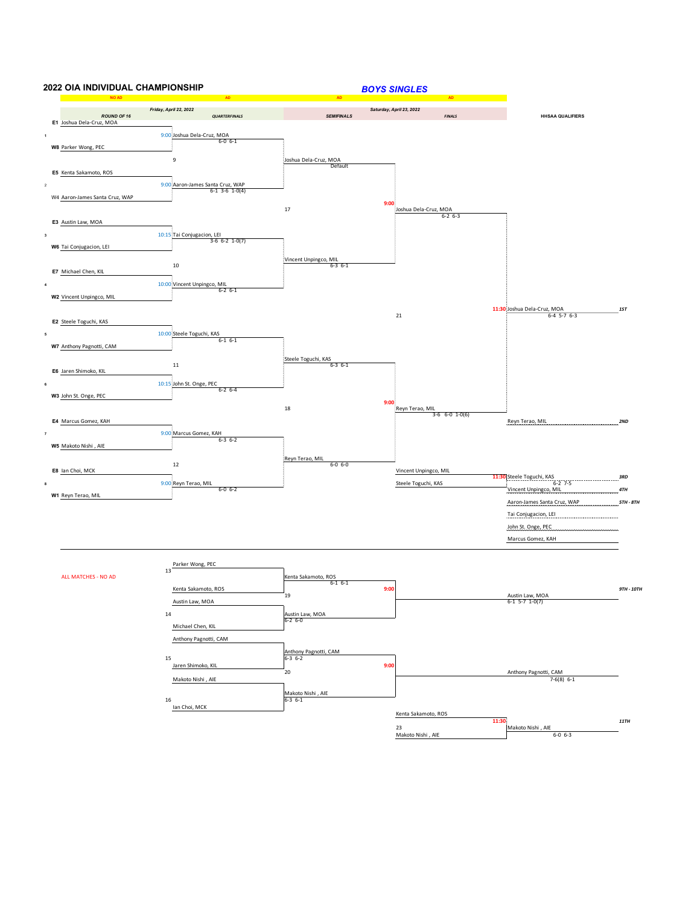

Makoto Nishi , AIE 6-0 6-3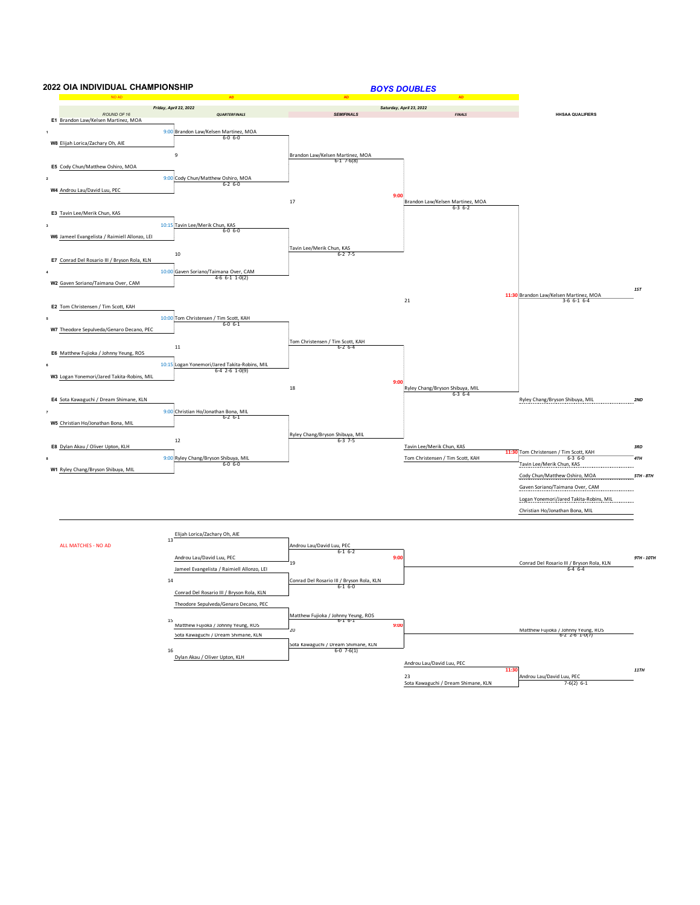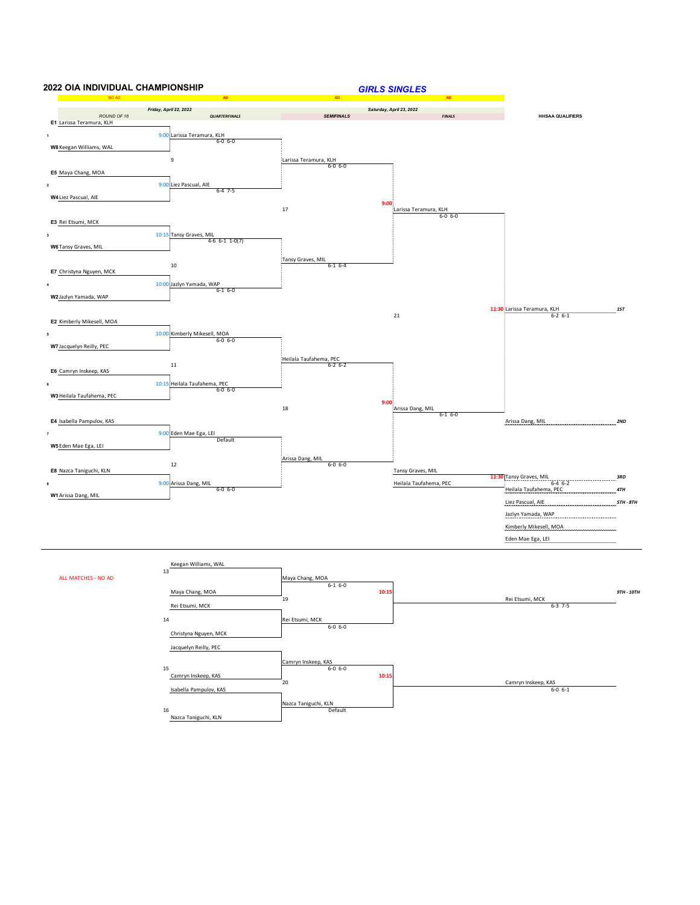